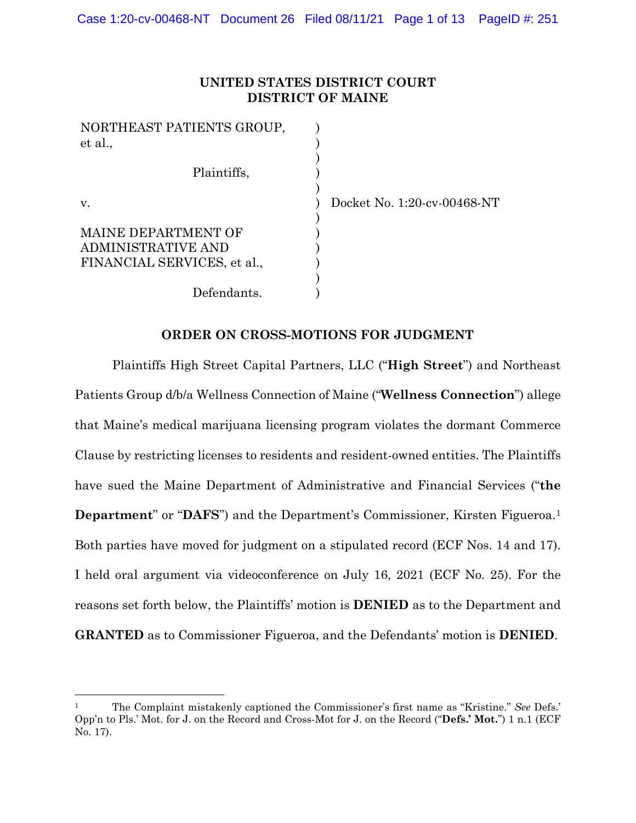# **UNITED STATES DISTRICT COURT DISTRICT OF MAINE**

Docket No. 1:20-cv-00468-NT

## **ORDER ON CROSS-MOTIONS FOR JUDGMENT**

Plaintiffs High Street Capital Partners, LLC ("**High Street**") and Northeast Patients Group d/b/a Wellness Connection of Maine ("**Wellness Connection**") allege that Maine's medical marijuana licensing program violates the dormant Commerce Clause by restricting licenses to residents and resident-owned entities. The Plaintiffs have sued the Maine Department of Administrative and Financial Services ("**the Department**" or "**DAFS**") and the Department's Commissioner, Kirsten Figueroa.<sup>1</sup> Both parties have moved for judgment on a stipulated record (ECF Nos. 14 and 17). I held oral argument via videoconference on July 16, 2021 (ECF No. 25). For the reasons set forth below, the Plaintiffs' motion is **DENIED** as to the Department and **GRANTED** as to Commissioner Figueroa, and the Defendants' motion is **DENIED**.

<sup>1</sup> The Complaint mistakenly captioned the Commissioner's first name as "Kristine." *See* Defs.' Opp'n to Pls.' Mot. for J. on the Record and Cross-Mot for J. on the Record ("**Defs.' Mot.**") 1 n.1 (ECF No. 17).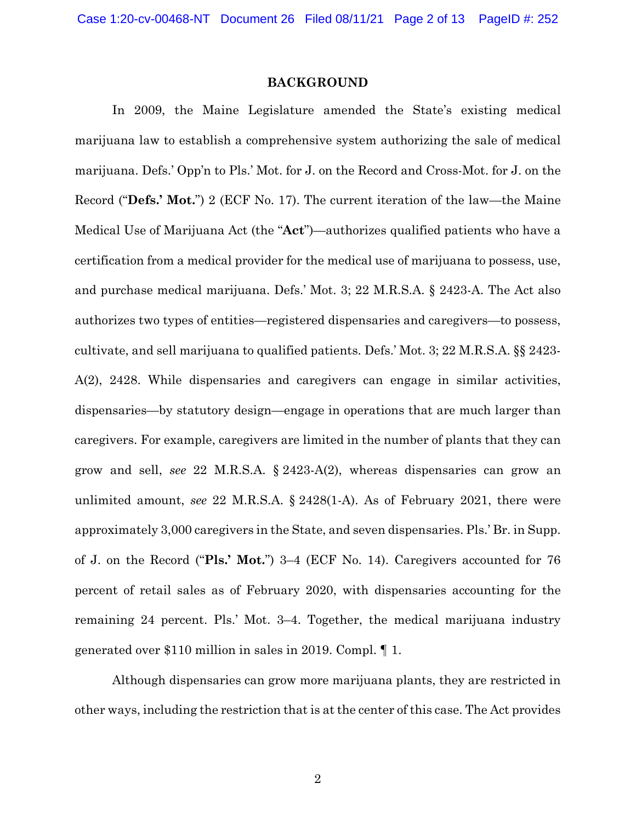### **BACKGROUND**

In 2009, the Maine Legislature amended the State's existing medical marijuana law to establish a comprehensive system authorizing the sale of medical marijuana. Defs.' Opp'n to Pls.' Mot. for J. on the Record and Cross-Mot. for J. on the Record ("**Defs.' Mot.**") 2 (ECF No. 17). The current iteration of the law—the Maine Medical Use of Marijuana Act (the "**Act**")—authorizes qualified patients who have a certification from a medical provider for the medical use of marijuana to possess, use, and purchase medical marijuana. Defs.' Mot. 3; 22 M.R.S.A. § 2423-A. The Act also authorizes two types of entities—registered dispensaries and caregivers—to possess, cultivate, and sell marijuana to qualified patients. Defs.' Mot. 3; 22 M.R.S.A. §§ 2423- A(2), 2428. While dispensaries and caregivers can engage in similar activities, dispensaries—by statutory design—engage in operations that are much larger than caregivers. For example, caregivers are limited in the number of plants that they can grow and sell, *see* 22 M.R.S.A. § 2423-A(2), whereas dispensaries can grow an unlimited amount, *see* 22 M.R.S.A. § 2428(1-A). As of February 2021, there were approximately 3,000 caregivers in the State, and seven dispensaries. Pls.' Br. in Supp. of J. on the Record ("**Pls.' Mot.**") 3–4 (ECF No. 14). Caregivers accounted for 76 percent of retail sales as of February 2020, with dispensaries accounting for the remaining 24 percent. Pls.' Mot. 3–4. Together, the medical marijuana industry generated over \$110 million in sales in 2019. Compl. ¶ 1.

Although dispensaries can grow more marijuana plants, they are restricted in other ways, including the restriction that is at the center of this case. The Act provides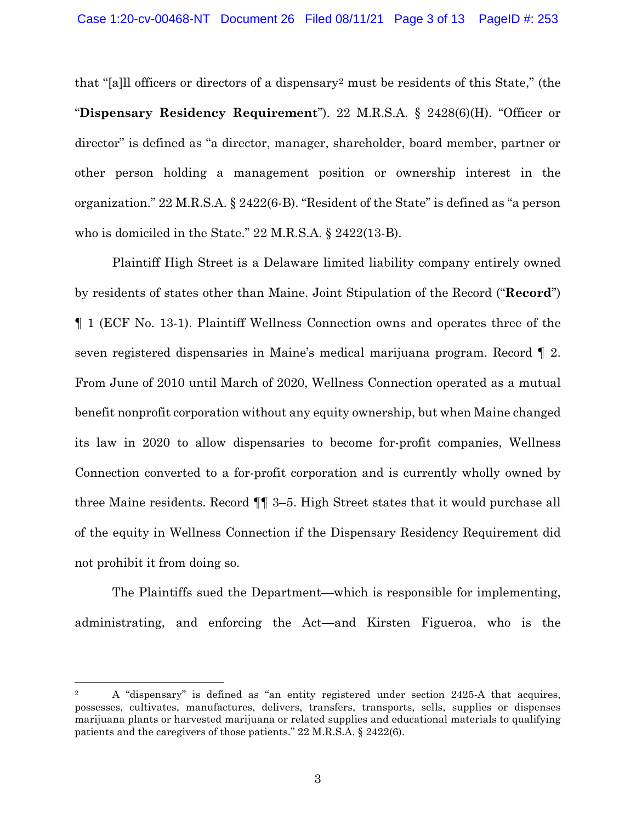that "[a]ll officers or directors of a dispensary2 must be residents of this State," (the "**Dispensary Residency Requirement**"). 22 M.R.S.A. § 2428(6)(H). "Officer or director" is defined as "a director, manager, shareholder, board member, partner or other person holding a management position or ownership interest in the organization." 22 M.R.S.A. § 2422(6-B). "Resident of the State" is defined as "a person who is domiciled in the State." 22 M.R.S.A. § 2422(13-B).

Plaintiff High Street is a Delaware limited liability company entirely owned by residents of states other than Maine. Joint Stipulation of the Record ("**Record**") ¶ 1 (ECF No. 13-1). Plaintiff Wellness Connection owns and operates three of the seven registered dispensaries in Maine's medical marijuana program. Record ¶ 2. From June of 2010 until March of 2020, Wellness Connection operated as a mutual benefit nonprofit corporation without any equity ownership, but when Maine changed its law in 2020 to allow dispensaries to become for-profit companies, Wellness Connection converted to a for-profit corporation and is currently wholly owned by three Maine residents. Record ¶¶ 3–5. High Street states that it would purchase all of the equity in Wellness Connection if the Dispensary Residency Requirement did not prohibit it from doing so.

The Plaintiffs sued the Department—which is responsible for implementing, administrating, and enforcing the Act—and Kirsten Figueroa, who is the

<sup>&</sup>lt;sup>2</sup> A "dispensary" is defined as "an entity registered under section 2425-A that acquires, possesses, cultivates, manufactures, delivers, transfers, transports, sells, supplies or dispenses marijuana plants or harvested marijuana or related supplies and educational materials to qualifying patients and the caregivers of those patients." 22 M.R.S.A. § 2422(6).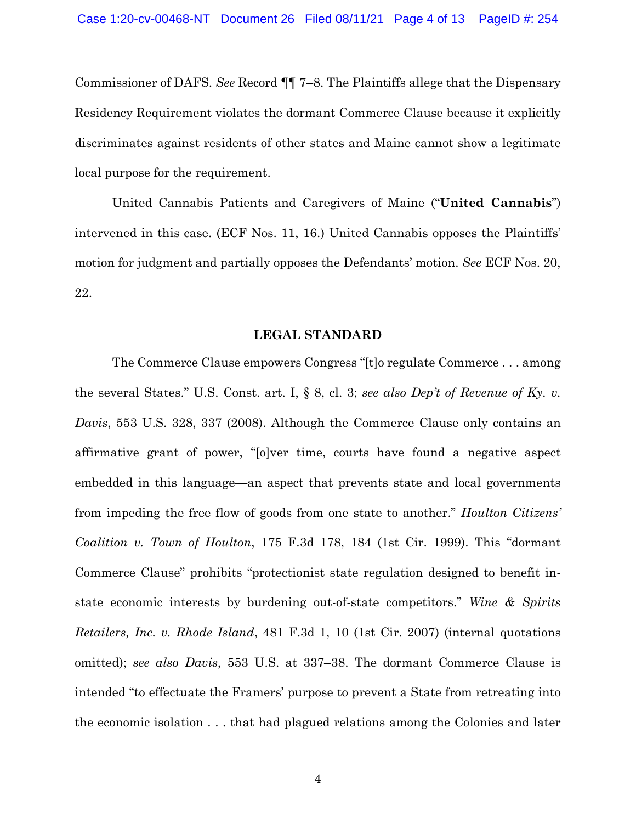Commissioner of DAFS. *See* Record ¶¶ 7–8. The Plaintiffs allege that the Dispensary Residency Requirement violates the dormant Commerce Clause because it explicitly discriminates against residents of other states and Maine cannot show a legitimate local purpose for the requirement.

United Cannabis Patients and Caregivers of Maine ("**United Cannabis**") intervened in this case. (ECF Nos. 11, 16.) United Cannabis opposes the Plaintiffs' motion for judgment and partially opposes the Defendants' motion. *See* ECF Nos. 20, 22.

### **LEGAL STANDARD**

The Commerce Clause empowers Congress "[t]o regulate Commerce . . . among the several States." U.S. Const. art. I, § 8, cl. 3; *see also Dep't of Revenue of Ky. v. Davis*, 553 U.S. 328, 337 (2008). Although the Commerce Clause only contains an affirmative grant of power, "[o]ver time, courts have found a negative aspect embedded in this language—an aspect that prevents state and local governments from impeding the free flow of goods from one state to another." *Houlton Citizens' Coalition v. Town of Houlton*, 175 F.3d 178, 184 (1st Cir. 1999). This "dormant Commerce Clause" prohibits "protectionist state regulation designed to benefit instate economic interests by burdening out-of-state competitors." *Wine & Spirits Retailers, Inc. v. Rhode Island*, 481 F.3d 1, 10 (1st Cir. 2007) (internal quotations omitted); *see also Davis*, 553 U.S. at 337–38. The dormant Commerce Clause is intended "to effectuate the Framers' purpose to prevent a State from retreating into the economic isolation . . . that had plagued relations among the Colonies and later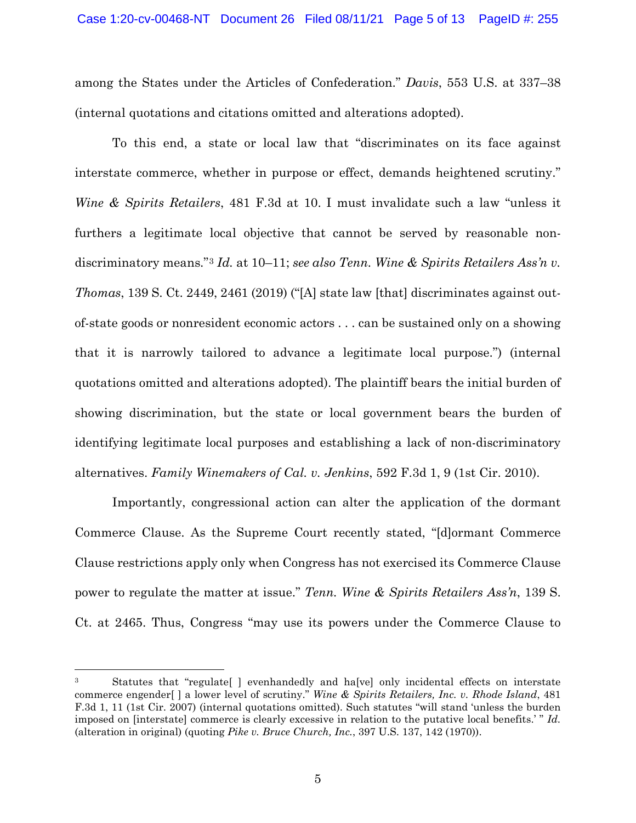among the States under the Articles of Confederation." *Davis*, 553 U.S. at 337–38 (internal quotations and citations omitted and alterations adopted).

To this end, a state or local law that "discriminates on its face against interstate commerce, whether in purpose or effect, demands heightened scrutiny." *Wine & Spirits Retailers*, 481 F.3d at 10. I must invalidate such a law "unless it furthers a legitimate local objective that cannot be served by reasonable nondiscriminatory means."<sup>3</sup> *Id.* at 10–11; *see also Tenn. Wine & Spirits Retailers Ass'n v. Thomas*, 139 S. Ct. 2449, 2461 (2019) ("[A] state law [that] discriminates against outof-state goods or nonresident economic actors . . . can be sustained only on a showing that it is narrowly tailored to advance a legitimate local purpose.") (internal quotations omitted and alterations adopted). The plaintiff bears the initial burden of showing discrimination, but the state or local government bears the burden of identifying legitimate local purposes and establishing a lack of non-discriminatory alternatives. *Family Winemakers of Cal. v. Jenkins*, 592 F.3d 1, 9 (1st Cir. 2010).

Importantly, congressional action can alter the application of the dormant Commerce Clause. As the Supreme Court recently stated, "[d]ormant Commerce Clause restrictions apply only when Congress has not exercised its Commerce Clause power to regulate the matter at issue." *Tenn. Wine & Spirits Retailers Ass'n*, 139 S. Ct. at 2465. Thus, Congress "may use its powers under the Commerce Clause to

<sup>3</sup> Statutes that "regulate[ ] evenhandedly and ha[ve] only incidental effects on interstate commerce engender[ ] a lower level of scrutiny." *Wine & Spirits Retailers, Inc. v. Rhode Island*, 481 F.3d 1, 11 (1st Cir. 2007) (internal quotations omitted). Such statutes "will stand 'unless the burden imposed on [interstate] commerce is clearly excessive in relation to the putative local benefits.' " *Id.* (alteration in original) (quoting *Pike v. Bruce Church, Inc.*, 397 U.S. 137, 142 (1970)).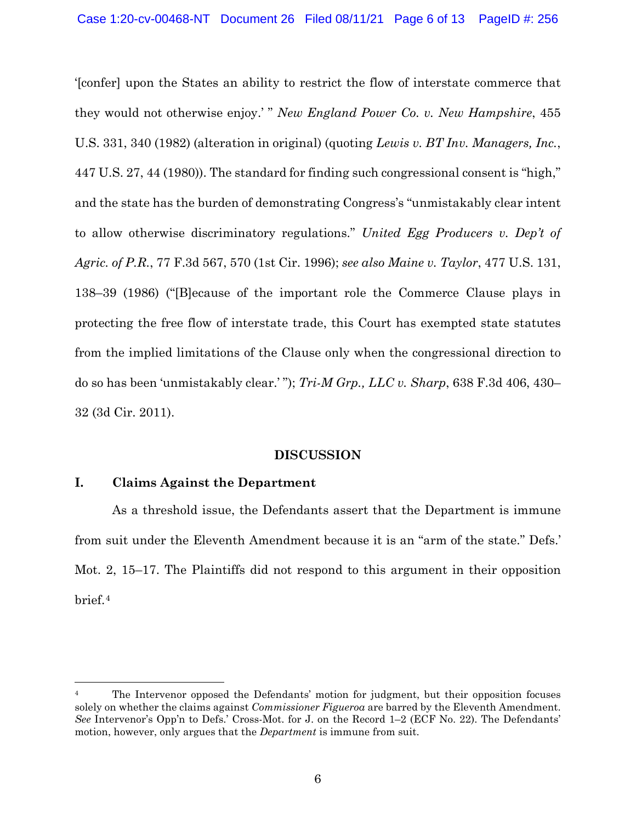'[confer] upon the States an ability to restrict the flow of interstate commerce that they would not otherwise enjoy.' " *New England Power Co. v. New Hampshire*, 455 U.S. 331, 340 (1982) (alteration in original) (quoting *Lewis v. BT Inv. Managers, Inc.*, 447 U.S. 27, 44 (1980)). The standard for finding such congressional consent is "high," and the state has the burden of demonstrating Congress's "unmistakably clear intent to allow otherwise discriminatory regulations." *United Egg Producers v. Dep't of Agric. of P.R.*, 77 F.3d 567, 570 (1st Cir. 1996); *see also Maine v. Taylor*, 477 U.S. 131, 138–39 (1986) ("[B]ecause of the important role the Commerce Clause plays in protecting the free flow of interstate trade, this Court has exempted state statutes from the implied limitations of the Clause only when the congressional direction to do so has been 'unmistakably clear.' "); *Tri-M Grp., LLC v. Sharp*, 638 F.3d 406, 430– 32 (3d Cir. 2011).

### **DISCUSSION**

# **I. Claims Against the Department**

As a threshold issue, the Defendants assert that the Department is immune from suit under the Eleventh Amendment because it is an "arm of the state." Defs.' Mot. 2, 15–17. The Plaintiffs did not respond to this argument in their opposition brief.4

<sup>4</sup> The Intervenor opposed the Defendants' motion for judgment, but their opposition focuses solely on whether the claims against *Commissioner Figueroa* are barred by the Eleventh Amendment. *See* Intervenor's Opp'n to Defs.' Cross-Mot. for J. on the Record 1–2 (ECF No. 22). The Defendants' motion, however, only argues that the *Department* is immune from suit.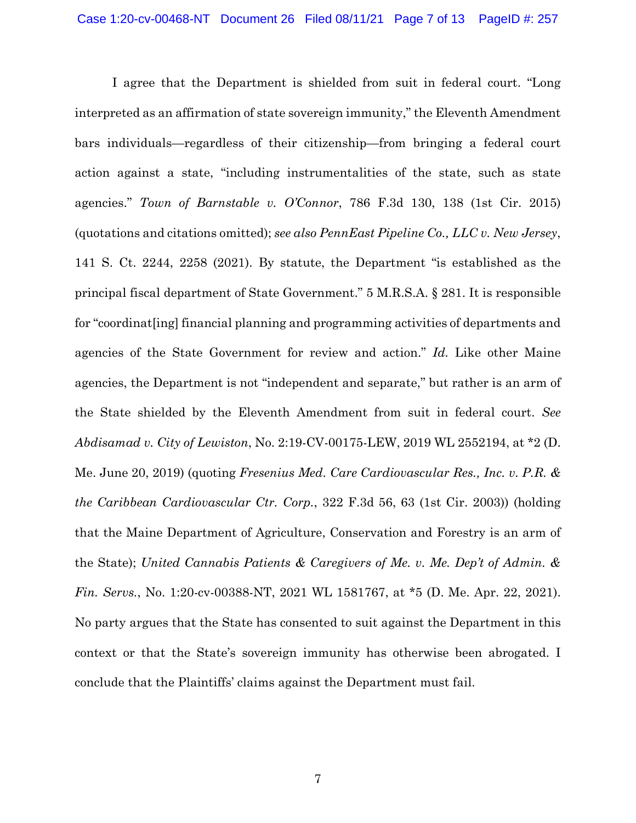I agree that the Department is shielded from suit in federal court. "Long interpreted as an affirmation of state sovereign immunity," the Eleventh Amendment bars individuals—regardless of their citizenship—from bringing a federal court action against a state, "including instrumentalities of the state, such as state agencies." *Town of Barnstable v. O'Connor*, 786 F.3d 130, 138 (1st Cir. 2015) (quotations and citations omitted); *see also PennEast Pipeline Co., LLC v. New Jersey*, 141 S. Ct. 2244, 2258 (2021). By statute, the Department "is established as the principal fiscal department of State Government." 5 M.R.S.A. § 281. It is responsible for "coordinat[ing] financial planning and programming activities of departments and agencies of the State Government for review and action." *Id.* Like other Maine agencies, the Department is not "independent and separate," but rather is an arm of the State shielded by the Eleventh Amendment from suit in federal court. *See Abdisamad v. City of Lewiston*, No. 2:19-CV-00175-LEW, 2019 WL 2552194, at \*2 (D. Me. June 20, 2019) (quoting *Fresenius Med. Care Cardiovascular Res., Inc. v. P.R. & the Caribbean Cardiovascular Ctr. Corp.*, 322 F.3d 56, 63 (1st Cir. 2003)) (holding that the Maine Department of Agriculture, Conservation and Forestry is an arm of the State); *United Cannabis Patients & Caregivers of Me. v. Me. Dep't of Admin. & Fin. Servs.*, No. 1:20-cv-00388-NT, 2021 WL 1581767, at \*5 (D. Me. Apr. 22, 2021). No party argues that the State has consented to suit against the Department in this context or that the State's sovereign immunity has otherwise been abrogated. I conclude that the Plaintiffs' claims against the Department must fail.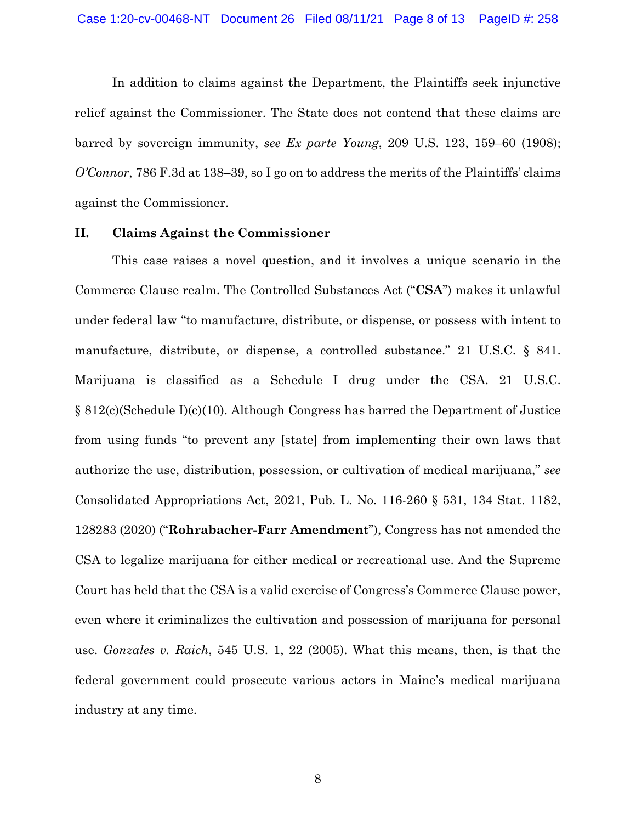In addition to claims against the Department, the Plaintiffs seek injunctive relief against the Commissioner. The State does not contend that these claims are barred by sovereign immunity, *see Ex parte Young*, 209 U.S. 123, 159–60 (1908); *O'Connor*, 786 F.3d at 138–39, so I go on to address the merits of the Plaintiffs' claims against the Commissioner.

#### **II. Claims Against the Commissioner**

This case raises a novel question, and it involves a unique scenario in the Commerce Clause realm. The Controlled Substances Act ("**CSA**") makes it unlawful under federal law "to manufacture, distribute, or dispense, or possess with intent to manufacture, distribute, or dispense, a controlled substance." 21 U.S.C. § 841. Marijuana is classified as a Schedule I drug under the CSA. 21 U.S.C. § 812(c)(Schedule I)(c)(10). Although Congress has barred the Department of Justice from using funds "to prevent any [state] from implementing their own laws that authorize the use, distribution, possession, or cultivation of medical marijuana," *see*  Consolidated Appropriations Act, 2021, Pub. L. No. 116-260 § 531, 134 Stat. 1182, 128283 (2020) ("**Rohrabacher-Farr Amendment**"), Congress has not amended the CSA to legalize marijuana for either medical or recreational use. And the Supreme Court has held that the CSA is a valid exercise of Congress's Commerce Clause power, even where it criminalizes the cultivation and possession of marijuana for personal use. *Gonzales v. Raich*, 545 U.S. 1, 22 (2005). What this means, then, is that the federal government could prosecute various actors in Maine's medical marijuana industry at any time.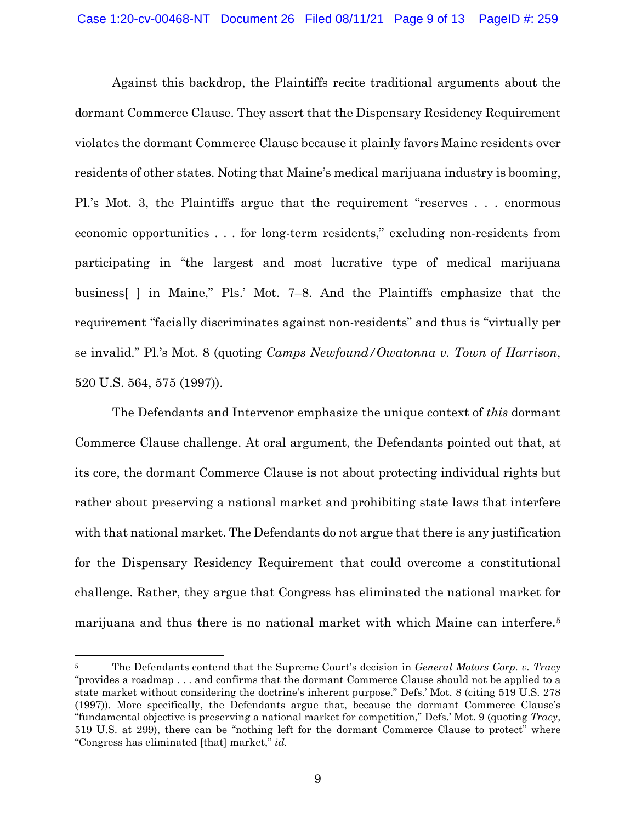Against this backdrop, the Plaintiffs recite traditional arguments about the dormant Commerce Clause. They assert that the Dispensary Residency Requirement violates the dormant Commerce Clause because it plainly favors Maine residents over residents of other states. Noting that Maine's medical marijuana industry is booming, Pl.'s Mot. 3, the Plaintiffs argue that the requirement "reserves . . . enormous economic opportunities . . . for long-term residents," excluding non-residents from participating in "the largest and most lucrative type of medical marijuana business[ ] in Maine," Pls.' Mot. 7–8. And the Plaintiffs emphasize that the requirement "facially discriminates against non-residents" and thus is "virtually per se invalid." Pl.'s Mot. 8 (quoting *Camps Newfound/Owatonna v. Town of Harrison*, 520 U.S. 564, 575 (1997)).

The Defendants and Intervenor emphasize the unique context of *this* dormant Commerce Clause challenge. At oral argument, the Defendants pointed out that, at its core, the dormant Commerce Clause is not about protecting individual rights but rather about preserving a national market and prohibiting state laws that interfere with that national market. The Defendants do not argue that there is any justification for the Dispensary Residency Requirement that could overcome a constitutional challenge. Rather, they argue that Congress has eliminated the national market for marijuana and thus there is no national market with which Maine can interfere.5

<sup>5</sup> The Defendants contend that the Supreme Court's decision in *General Motors Corp. v. Tracy* "provides a roadmap . . . and confirms that the dormant Commerce Clause should not be applied to a state market without considering the doctrine's inherent purpose." Defs.' Mot. 8 (citing 519 U.S. 278 (1997)). More specifically, the Defendants argue that, because the dormant Commerce Clause's "fundamental objective is preserving a national market for competition," Defs.' Mot. 9 (quoting *Tracy*, 519 U.S. at 299), there can be "nothing left for the dormant Commerce Clause to protect" where "Congress has eliminated [that] market," *id.*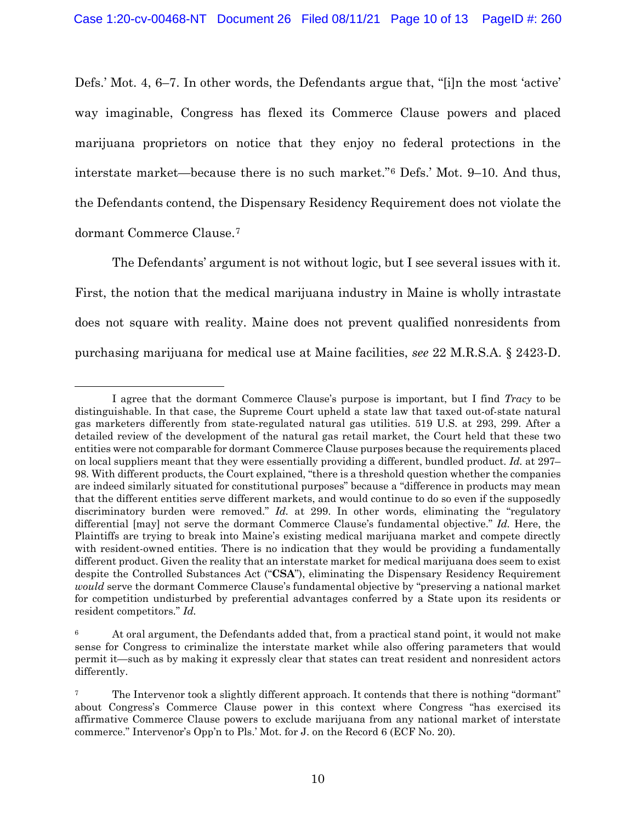Defs.' Mot. 4, 6–7. In other words, the Defendants argue that, "[i]n the most 'active' way imaginable, Congress has flexed its Commerce Clause powers and placed marijuana proprietors on notice that they enjoy no federal protections in the interstate market—because there is no such market."6 Defs.' Mot. 9–10. And thus, the Defendants contend, the Dispensary Residency Requirement does not violate the dormant Commerce Clause.7

The Defendants' argument is not without logic, but I see several issues with it. First, the notion that the medical marijuana industry in Maine is wholly intrastate does not square with reality. Maine does not prevent qualified nonresidents from purchasing marijuana for medical use at Maine facilities, *see* 22 M.R.S.A. § 2423-D.

I agree that the dormant Commerce Clause's purpose is important, but I find *Tracy* to be distinguishable. In that case, the Supreme Court upheld a state law that taxed out-of-state natural gas marketers differently from state-regulated natural gas utilities. 519 U.S. at 293, 299. After a detailed review of the development of the natural gas retail market, the Court held that these two entities were not comparable for dormant Commerce Clause purposes because the requirements placed on local suppliers meant that they were essentially providing a different, bundled product. *Id.* at 297– 98. With different products, the Court explained, "there is a threshold question whether the companies are indeed similarly situated for constitutional purposes" because a "difference in products may mean that the different entities serve different markets, and would continue to do so even if the supposedly discriminatory burden were removed." *Id.* at 299. In other words, eliminating the "regulatory" differential [may] not serve the dormant Commerce Clause's fundamental objective." *Id.* Here, the Plaintiffs are trying to break into Maine's existing medical marijuana market and compete directly with resident-owned entities. There is no indication that they would be providing a fundamentally different product. Given the reality that an interstate market for medical marijuana does seem to exist despite the Controlled Substances Act ("**CSA**"), eliminating the Dispensary Residency Requirement *would* serve the dormant Commerce Clause's fundamental objective by "preserving a national market for competition undisturbed by preferential advantages conferred by a State upon its residents or resident competitors." *Id.*

<sup>&</sup>lt;sup>6</sup> At oral argument, the Defendants added that, from a practical stand point, it would not make sense for Congress to criminalize the interstate market while also offering parameters that would permit it—such as by making it expressly clear that states can treat resident and nonresident actors differently.

<sup>&</sup>lt;sup>7</sup> The Intervenor took a slightly different approach. It contends that there is nothing "dormant" about Congress's Commerce Clause power in this context where Congress "has exercised its affirmative Commerce Clause powers to exclude marijuana from any national market of interstate commerce." Intervenor's Opp'n to Pls.' Mot. for J. on the Record 6 (ECF No. 20).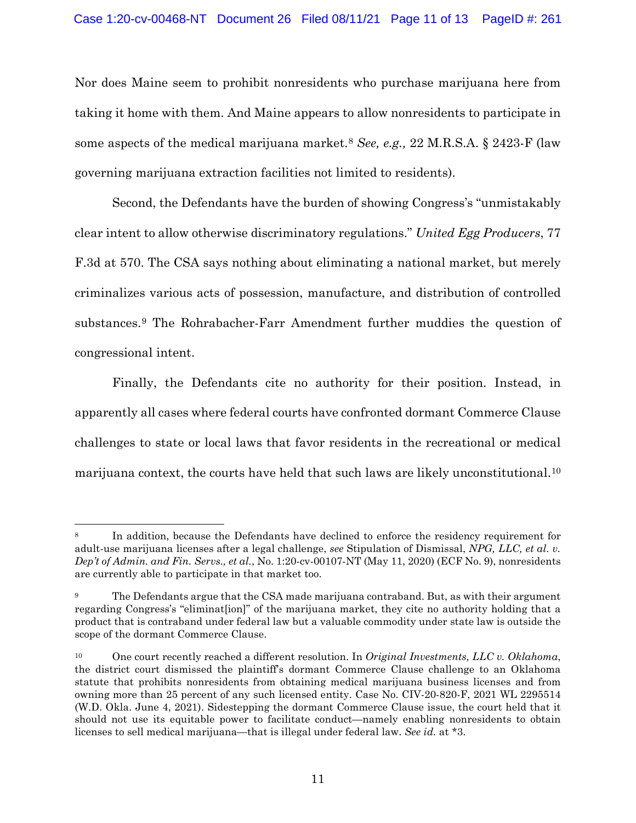Nor does Maine seem to prohibit nonresidents who purchase marijuana here from taking it home with them. And Maine appears to allow nonresidents to participate in some aspects of the medical marijuana market.8 *See, e.g.,* 22 M.R.S.A. § 2423-F (law governing marijuana extraction facilities not limited to residents).

Second, the Defendants have the burden of showing Congress's "unmistakably clear intent to allow otherwise discriminatory regulations." *United Egg Producers*, 77 F.3d at 570. The CSA says nothing about eliminating a national market, but merely criminalizes various acts of possession, manufacture, and distribution of controlled substances.9 The Rohrabacher-Farr Amendment further muddies the question of congressional intent.

Finally, the Defendants cite no authority for their position. Instead, in apparently all cases where federal courts have confronted dormant Commerce Clause challenges to state or local laws that favor residents in the recreational or medical marijuana context, the courts have held that such laws are likely unconstitutional.10

In addition, because the Defendants have declined to enforce the residency requirement for adult-use marijuana licenses after a legal challenge, *see* Stipulation of Dismissal, *NPG, LLC, et al. v. Dep't of Admin. and Fin. Servs., et al.*, No. 1:20-cv-00107-NT (May 11, 2020) (ECF No. 9), nonresidents are currently able to participate in that market too.

<sup>&</sup>lt;sup>9</sup> The Defendants argue that the CSA made marijuana contraband. But, as with their argument regarding Congress's "eliminat[ion]" of the marijuana market, they cite no authority holding that a product that is contraband under federal law but a valuable commodity under state law is outside the scope of the dormant Commerce Clause.

<sup>10</sup> One court recently reached a different resolution. In *Original Investments, LLC v. Oklahoma*, the district court dismissed the plaintiff's dormant Commerce Clause challenge to an Oklahoma statute that prohibits nonresidents from obtaining medical marijuana business licenses and from owning more than 25 percent of any such licensed entity. Case No. CIV-20-820-F, 2021 WL 2295514 (W.D. Okla. June 4, 2021). Sidestepping the dormant Commerce Clause issue, the court held that it should not use its equitable power to facilitate conduct—namely enabling nonresidents to obtain licenses to sell medical marijuana—that is illegal under federal law. *See id.* at \*3.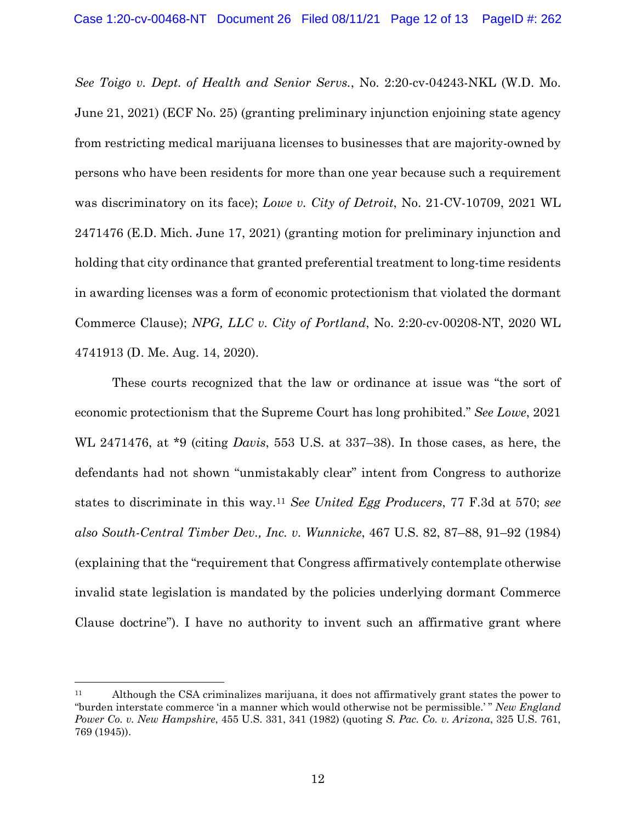*See Toigo v. Dept. of Health and Senior Servs.*, No. 2:20-cv-04243-NKL (W.D. Mo. June 21, 2021) (ECF No. 25) (granting preliminary injunction enjoining state agency from restricting medical marijuana licenses to businesses that are majority-owned by persons who have been residents for more than one year because such a requirement was discriminatory on its face); *Lowe v. City of Detroit*, No. 21-CV-10709, 2021 WL 2471476 (E.D. Mich. June 17, 2021) (granting motion for preliminary injunction and holding that city ordinance that granted preferential treatment to long-time residents in awarding licenses was a form of economic protectionism that violated the dormant Commerce Clause); *NPG, LLC v. City of Portland*, No. 2:20-cv-00208-NT, 2020 WL 4741913 (D. Me. Aug. 14, 2020).

These courts recognized that the law or ordinance at issue was "the sort of economic protectionism that the Supreme Court has long prohibited." *See Lowe*, 2021 WL 2471476, at \*9 (citing *Davis*, 553 U.S. at 337–38). In those cases, as here, the defendants had not shown "unmistakably clear" intent from Congress to authorize states to discriminate in this way.11 *See United Egg Producers*, 77 F.3d at 570; *see also South-Central Timber Dev., Inc. v. Wunnicke*, 467 U.S. 82, 87–88, 91–92 (1984) (explaining that the "requirement that Congress affirmatively contemplate otherwise invalid state legislation is mandated by the policies underlying dormant Commerce Clause doctrine"). I have no authority to invent such an affirmative grant where

<sup>11</sup> Although the CSA criminalizes marijuana, it does not affirmatively grant states the power to "burden interstate commerce 'in a manner which would otherwise not be permissible.' " *New England Power Co. v. New Hampshire*, 455 U.S. 331, 341 (1982) (quoting *S. Pac. Co. v. Arizona*, 325 U.S. 761, 769 (1945)).